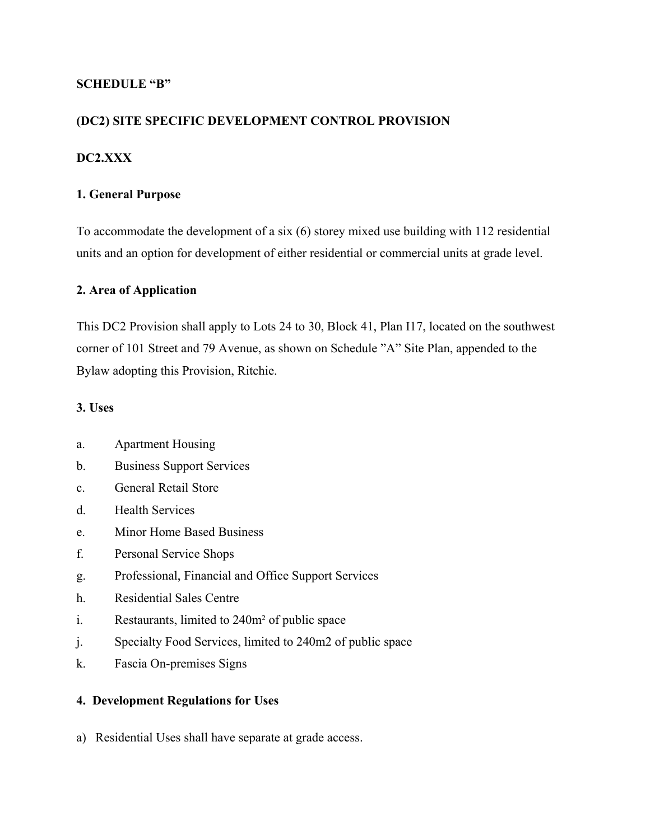## **SCHEDULE "B"**

## **(DC2) SITE SPECIFIC DEVELOPMENT CONTROL PROVISION**

## **DC2.XXX**

### **1. General Purpose**

To accommodate the development of a six (6) storey mixed use building with 112 residential units and an option for development of either residential or commercial units at grade level.

#### **2. Area of Application**

This DC2 Provision shall apply to Lots 24 to 30, Block 41, Plan I17, located on the southwest corner of 101 Street and 79 Avenue, as shown on Schedule "A" Site Plan, appended to the Bylaw adopting this Provision, Ritchie.

#### **3. Uses**

- a. Apartment Housing
- b. Business Support Services
- c. General Retail Store
- d. Health Services
- e. Minor Home Based Business
- f. Personal Service Shops
- g. Professional, Financial and Office Support Services
- h. Residential Sales Centre
- i. Restaurants, limited to 240m² of public space
- j. Specialty Food Services, limited to 240m2 of public space
- k. Fascia On-premises Signs

#### **4. Development Regulations for Uses**

a) Residential Uses shall have separate at grade access.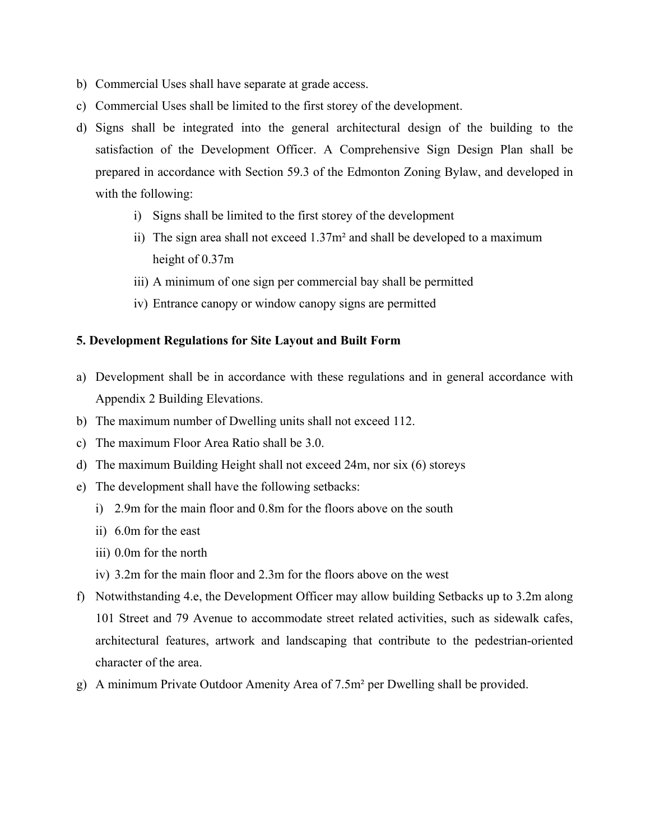- b) Commercial Uses shall have separate at grade access.
- c) Commercial Uses shall be limited to the first storey of the development.
- d) Signs shall be integrated into the general architectural design of the building to the satisfaction of the Development Officer. A Comprehensive Sign Design Plan shall be prepared in accordance with Section 59.3 of the Edmonton Zoning Bylaw, and developed in with the following:
	- i) Signs shall be limited to the first storey of the development
	- ii) The sign area shall not exceed 1.37m² and shall be developed to a maximum height of 0.37m
	- iii) A minimum of one sign per commercial bay shall be permitted
	- iv) Entrance canopy or window canopy signs are permitted

#### **5. Development Regulations for Site Layout and Built Form**

- a) Development shall be in accordance with these regulations and in general accordance with Appendix 2 Building Elevations.
- b) The maximum number of Dwelling units shall not exceed 112.
- c) The maximum Floor Area Ratio shall be 3.0.
- d) The maximum Building Height shall not exceed 24m, nor six (6) storeys
- e) The development shall have the following setbacks:
	- i) 2.9m for the main floor and 0.8m for the floors above on the south
	- ii) 6.0m for the east
	- iii) 0.0m for the north
	- iv) 3.2m for the main floor and 2.3m for the floors above on the west
- f) Notwithstanding 4.e, the Development Officer may allow building Setbacks up to 3.2m along 101 Street and 79 Avenue to accommodate street related activities, such as sidewalk cafes, architectural features, artwork and landscaping that contribute to the pedestrian-oriented character of the area.
- g) A minimum Private Outdoor Amenity Area of 7.5m² per Dwelling shall be provided.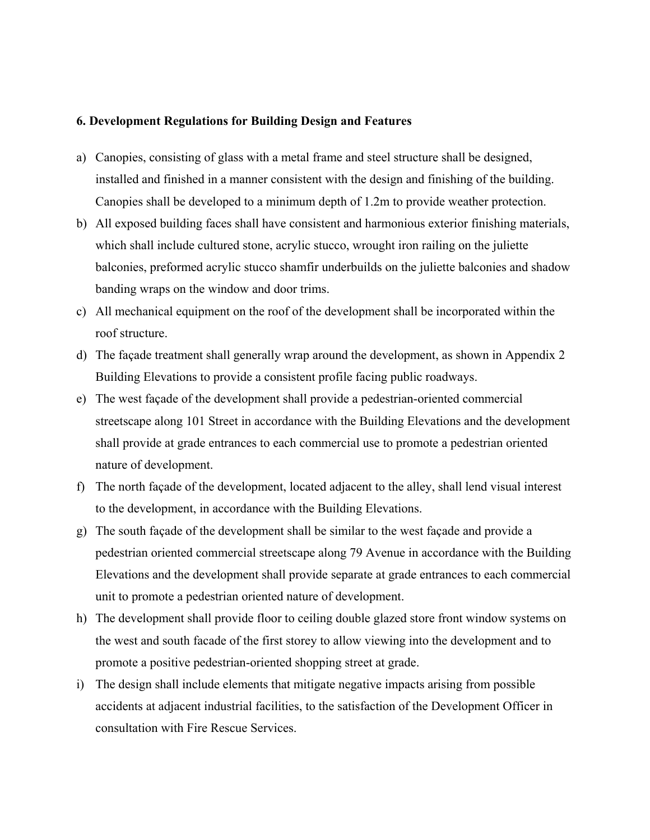#### **6. Development Regulations for Building Design and Features**

- a) Canopies, consisting of glass with a metal frame and steel structure shall be designed, installed and finished in a manner consistent with the design and finishing of the building. Canopies shall be developed to a minimum depth of 1.2m to provide weather protection.
- b) All exposed building faces shall have consistent and harmonious exterior finishing materials, which shall include cultured stone, acrylic stucco, wrought iron railing on the juliette balconies, preformed acrylic stucco shamfir underbuilds on the juliette balconies and shadow banding wraps on the window and door trims.
- c) All mechanical equipment on the roof of the development shall be incorporated within the roof structure.
- d) The façade treatment shall generally wrap around the development, as shown in Appendix 2 Building Elevations to provide a consistent profile facing public roadways.
- e) The west façade of the development shall provide a pedestrian-oriented commercial streetscape along 101 Street in accordance with the Building Elevations and the development shall provide at grade entrances to each commercial use to promote a pedestrian oriented nature of development.
- f) The north façade of the development, located adjacent to the alley, shall lend visual interest to the development, in accordance with the Building Elevations.
- g) The south façade of the development shall be similar to the west façade and provide a pedestrian oriented commercial streetscape along 79 Avenue in accordance with the Building Elevations and the development shall provide separate at grade entrances to each commercial unit to promote a pedestrian oriented nature of development.
- h) The development shall provide floor to ceiling double glazed store front window systems on the west and south facade of the first storey to allow viewing into the development and to promote a positive pedestrian-oriented shopping street at grade.
- i) The design shall include elements that mitigate negative impacts arising from possible accidents at adjacent industrial facilities, to the satisfaction of the Development Officer in consultation with Fire Rescue Services.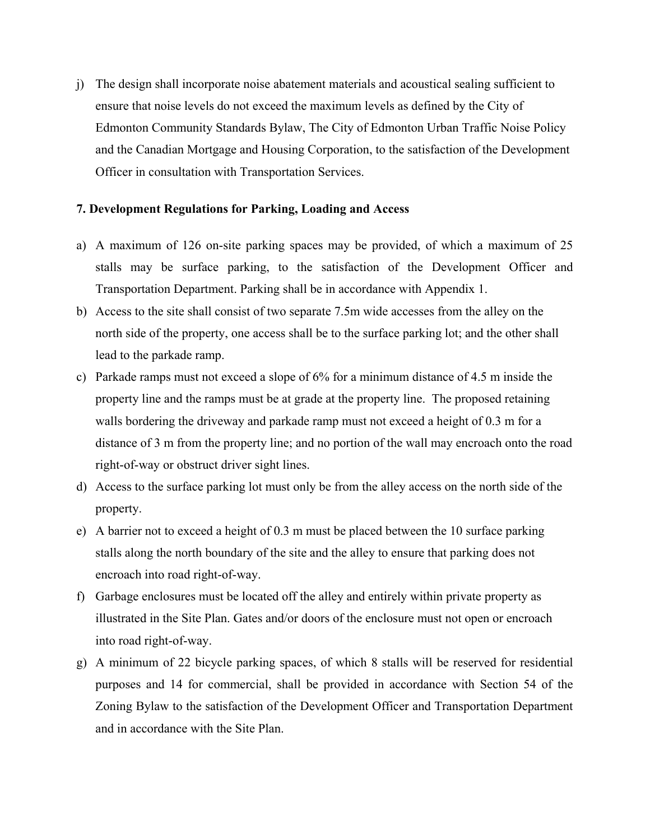j) The design shall incorporate noise abatement materials and acoustical sealing sufficient to ensure that noise levels do not exceed the maximum levels as defined by the City of Edmonton Community Standards Bylaw, The City of Edmonton Urban Traffic Noise Policy and the Canadian Mortgage and Housing Corporation, to the satisfaction of the Development Officer in consultation with Transportation Services.

#### **7. Development Regulations for Parking, Loading and Access**

- a) A maximum of 126 on-site parking spaces may be provided, of which a maximum of 25 stalls may be surface parking, to the satisfaction of the Development Officer and Transportation Department. Parking shall be in accordance with Appendix 1.
- b) Access to the site shall consist of two separate 7.5m wide accesses from the alley on the north side of the property, one access shall be to the surface parking lot; and the other shall lead to the parkade ramp.
- c) Parkade ramps must not exceed a slope of 6% for a minimum distance of 4.5 m inside the property line and the ramps must be at grade at the property line. The proposed retaining walls bordering the driveway and parkade ramp must not exceed a height of 0.3 m for a distance of 3 m from the property line; and no portion of the wall may encroach onto the road right-of-way or obstruct driver sight lines.
- d) Access to the surface parking lot must only be from the alley access on the north side of the property.
- e) A barrier not to exceed a height of 0.3 m must be placed between the 10 surface parking stalls along the north boundary of the site and the alley to ensure that parking does not encroach into road right-of-way.
- f) Garbage enclosures must be located off the alley and entirely within private property as illustrated in the Site Plan. Gates and/or doors of the enclosure must not open or encroach into road right-of-way.
- g) A minimum of 22 bicycle parking spaces, of which 8 stalls will be reserved for residential purposes and 14 for commercial, shall be provided in accordance with Section 54 of the Zoning Bylaw to the satisfaction of the Development Officer and Transportation Department and in accordance with the Site Plan.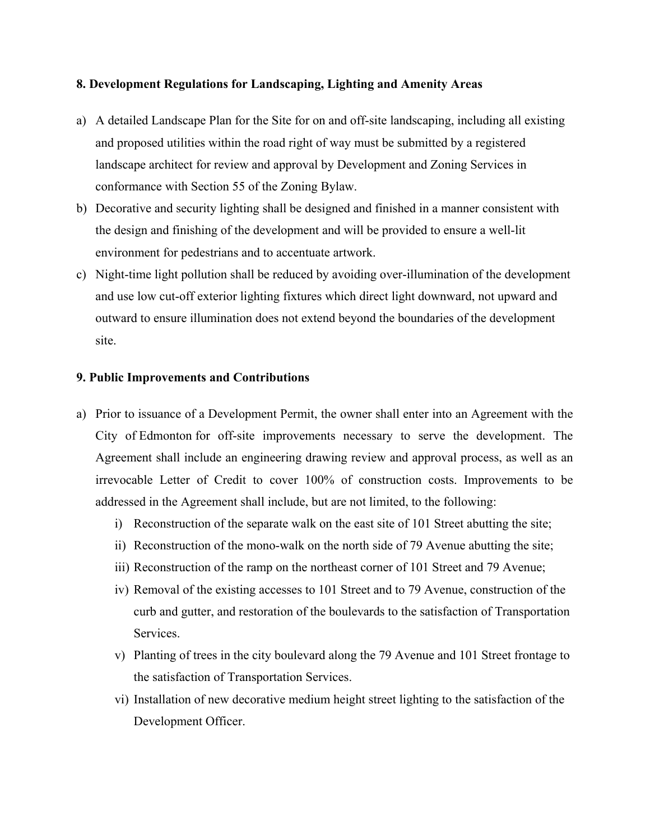#### **8. Development Regulations for Landscaping, Lighting and Amenity Areas**

- a) A detailed Landscape Plan for the Site for on and off-site landscaping, including all existing and proposed utilities within the road right of way must be submitted by a registered landscape architect for review and approval by Development and Zoning Services in conformance with Section 55 of the Zoning Bylaw.
- b) Decorative and security lighting shall be designed and finished in a manner consistent with the design and finishing of the development and will be provided to ensure a well-lit environment for pedestrians and to accentuate artwork.
- c) Night-time light pollution shall be reduced by avoiding over-illumination of the development and use low cut-off exterior lighting fixtures which direct light downward, not upward and outward to ensure illumination does not extend beyond the boundaries of the development site.

#### **9. Public Improvements and Contributions**

- a) Prior to issuance of a Development Permit, the owner shall enter into an Agreement with the City of Edmonton for off-site improvements necessary to serve the development. The Agreement shall include an engineering drawing review and approval process, as well as an irrevocable Letter of Credit to cover 100% of construction costs. Improvements to be addressed in the Agreement shall include, but are not limited, to the following:
	- i) Reconstruction of the separate walk on the east site of 101 Street abutting the site;
	- ii) Reconstruction of the mono-walk on the north side of 79 Avenue abutting the site;
	- iii) Reconstruction of the ramp on the northeast corner of 101 Street and 79 Avenue;
	- iv) Removal of the existing accesses to 101 Street and to 79 Avenue, construction of the curb and gutter, and restoration of the boulevards to the satisfaction of Transportation Services.
	- v) Planting of trees in the city boulevard along the 79 Avenue and 101 Street frontage to the satisfaction of Transportation Services.
	- vi) Installation of new decorative medium height street lighting to the satisfaction of the Development Officer.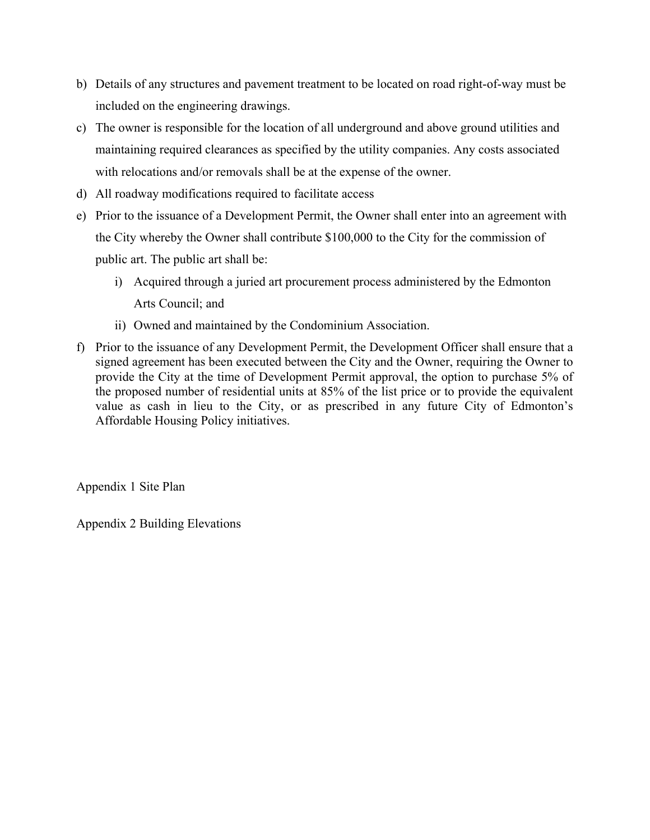- b) Details of any structures and pavement treatment to be located on road right-of-way must be included on the engineering drawings.
- c) The owner is responsible for the location of all underground and above ground utilities and maintaining required clearances as specified by the utility companies. Any costs associated with relocations and/or removals shall be at the expense of the owner.
- d) All roadway modifications required to facilitate access
- e) Prior to the issuance of a Development Permit, the Owner shall enter into an agreement with the City whereby the Owner shall contribute \$100,000 to the City for the commission of public art. The public art shall be:
	- i) Acquired through a juried art procurement process administered by the Edmonton Arts Council; and
	- ii) Owned and maintained by the Condominium Association.
- f) Prior to the issuance of any Development Permit, the Development Officer shall ensure that a signed agreement has been executed between the City and the Owner, requiring the Owner to provide the City at the time of Development Permit approval, the option to purchase 5% of the proposed number of residential units at 85% of the list price or to provide the equivalent value as cash in lieu to the City, or as prescribed in any future City of Edmonton's Affordable Housing Policy initiatives.

Appendix 1 Site Plan

Appendix 2 Building Elevations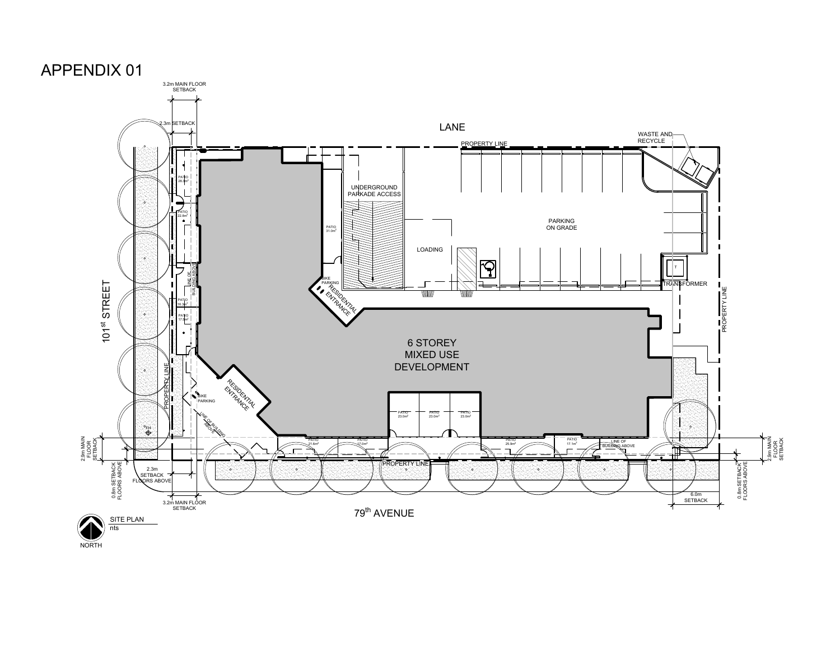

**NORTH**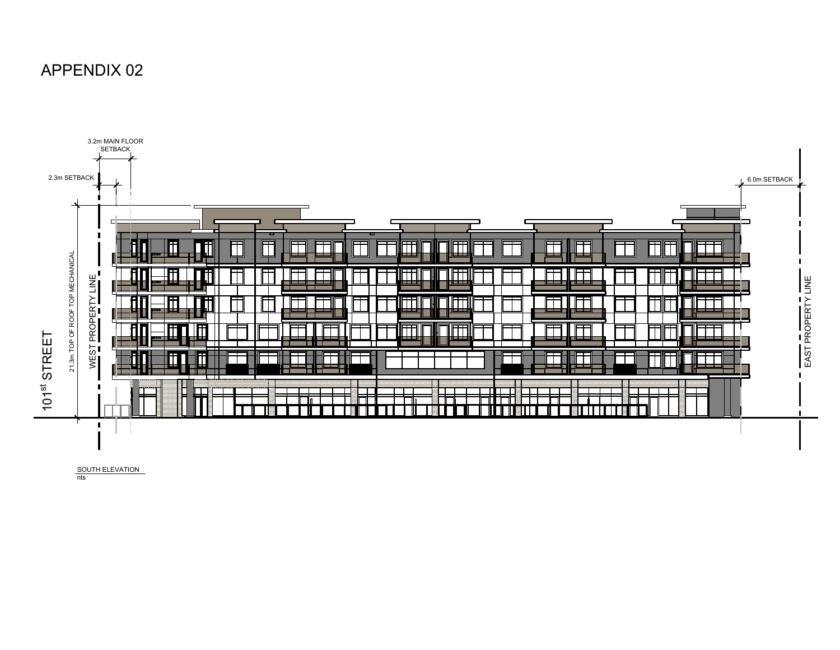# **APPENDIX 02**



SOUTH ELEVATION

 $nts$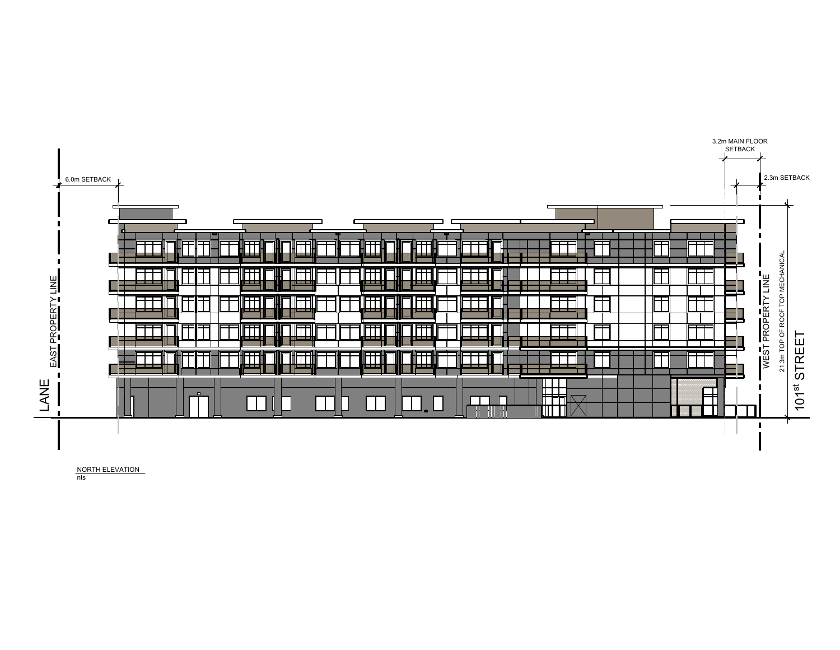

NORTH ELEVATION

 $nts$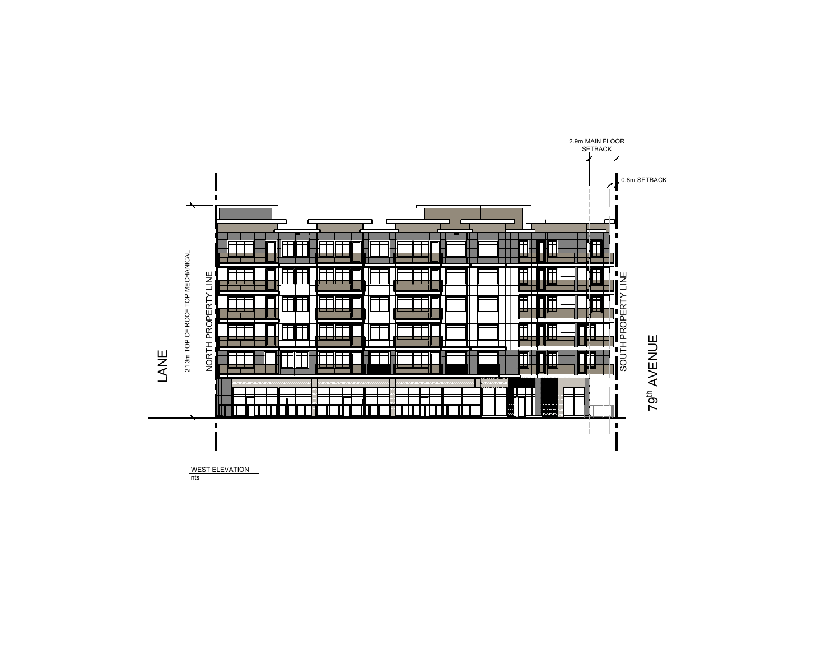